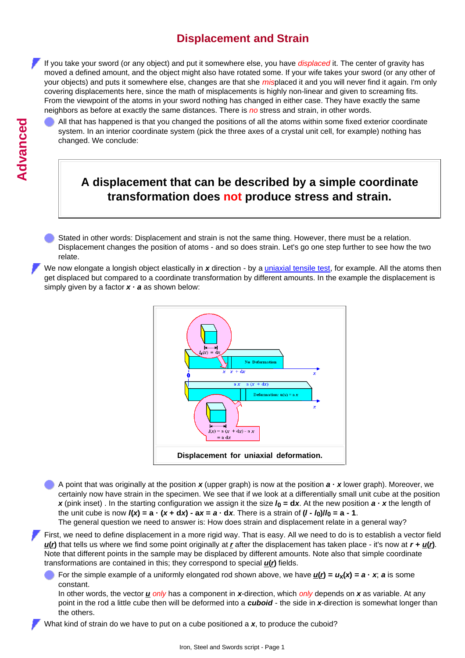## **Displacement and Strain**

If you take your sword (or any object) and put it somewhere else, you have *displaced* it. The center of gravity has moved a defined amount, and the object might also have rotated some. If your wife takes your sword (or any other of your objects) and puts it somewhere else, changes are that she *mis*placed it and you will never find it again. I'm only covering displacements here, since the math of misplacements is highly non-linear and given to screaming fits. From the viewpoint of the atoms in your sword nothing has changed in either case. They have exactly the same neighbors as before at exactly the same distances. There is *no* stress and strain, in other words.

All that has happened is that you changed the positions of all the atoms within some fixed exterior coordinate system. In an interior coordinate system (pick the three axes of a crystal unit cell, for example) nothing has changed. We conclude:

## **A displacement that can be described by a simple coordinate transformation does not produce stress and strain.**

Stated in other words: Displacement and strain is not the same thing. However, there must be a relation. Displacement changes the position of atoms - and so does strain. Let's go one step further to see how the two relate.

We now elongate a longish object elastically in x direction - by a *uniaxial tensile test*, for example. All the atoms then get displaced but compared to a coordinate transformation by different amounts. In the example the displacement is simply given by a factor  $x \cdot a$  as shown below:



A point that was originally at the position  $x$  (upper graph) is now at the position  $a \cdot x$  lower graph). Moreover, we certainly now have strain in the specimen. We see that if we look at a differentially small unit cube at the position *x* (pink inset). In the starting configuration we assign it the size  $I_0 = dx$ . At the new position  $a \cdot x$  the length of the unit cube is now  $I(x) = a \cdot (x + dx) - ax = a \cdot dx$ . There is a strain of  $(I - I_0)/I_0 = a - 1$ .

The general question we need to answer is: How does strain and displacement relate in a general way?

First, we need to define displacement in a more rigid way. That is easy. All we need to do is to establish a vector field *u***(***r***)** that tells us where we find some point originally at *r* after the displacement has taken place - it's now at *r + u***(***r***)**. Note that different points in the sample may be displaced by different amounts. Note also that simple coordinate transformations are contained in this; they correspond to special *u***(***r***)** fields.

For the simple example of a uniformly elongated rod shown above, we have  $\underline{u}(t) = u_x(x) = a \cdot x$ ; a is some constant.

In other words, the vector *u only* has a component in *x*-direction, which *only* depends on *x* as variable. At any point in the rod a little cube then will be deformed into a *cuboid* - the side in *x*-direction is somewhat longer than the others.

What kind of strain do we have to put on a cube positioned a *x*, to produce the cuboid?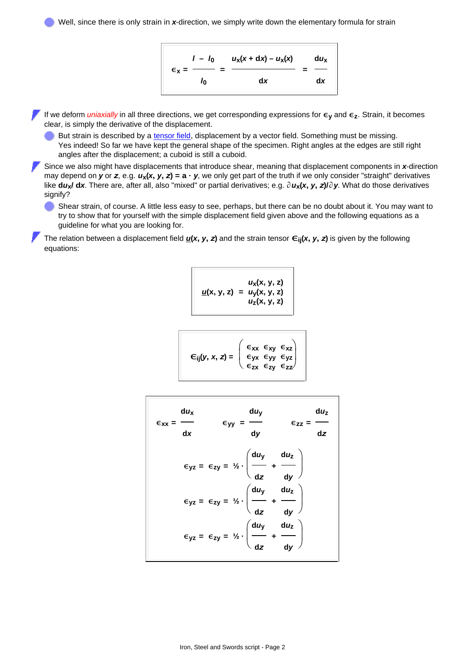Well, since there is only strain in x-direction, we simply write down the elementary formula for strain



If we deform *uniaxially* in all three directions, we get corresponding expressions for **εy** and **εz**. Strain, it becomes clear, is simply the derivative of the displacement.

But strain is described by a [tensor field](http://www.tf.uni-kiel.de/matwis/amat/iss_dec_15_2021/kap_3/illustr/s3_1_2.html#tensor), displacement by a vector field. Something must be missing. Yes indeed! So far we have kept the general shape of the specimen. Right angles at the edges are still right angles after the displacement; a cuboid is still a cuboid.

Since we also might have displacements that introduce shear, meaning that displacement components in *x*-direction may depend on  $y$  or  $z$ , e.g.  $u_x(x, y, z) = a \cdot y$ , we only get part of the truth if we only consider "straight" derivatives like dux/ dx. There are, after all, also "mixed" or partial derivatives; e.g.  $\partial u_x(x, y, z)/\partial y$ . What do those derivatives signify?

Shear strain, of course. A little less easy to see, perhaps, but there can be no doubt about it. You may want to try to show that for yourself with the simple displacement field given above and the following equations as a guideline for what you are looking for.

The relation between a displacement field  $\underline{u}(x, y, z)$  and the strain tensor  $\epsilon_{ij}(x, y, z)$  is given by the following equations:

$$
\underline{u}(x, y, z) = u_{y}(x, y, z) \n u_{z}(x, y, z) = u_{z}(x, y, z)
$$

$$
\epsilon_{ij}(y, x, z) = \begin{pmatrix} \epsilon_{xx} & \epsilon_{xy} & \epsilon_{xz} \\ \epsilon_{yx} & \epsilon_{yy} & \epsilon_{yz} \\ \epsilon_{zx} & \epsilon_{zy} & \epsilon_{zz} \end{pmatrix}
$$

| $du_x$<br>$\epsilon_{xx}$ = | d <i>u</i> y                                                                                                                                                                                                                                                                                                         | $du_z$<br>$\epsilon_{zz}$ = |
|-----------------------------|----------------------------------------------------------------------------------------------------------------------------------------------------------------------------------------------------------------------------------------------------------------------------------------------------------------------|-----------------------------|
| dx                          | $\epsilon_{yy} = \frac{1}{dy}$                                                                                                                                                                                                                                                                                       | dz                          |
|                             | $\epsilon_{yz} = \epsilon_{zy} = \frac{1}{2} \cdot \left( \frac{du_y}{dz} + \frac{du_z}{dy} \right)$<br>$\epsilon_{yz} = \epsilon_{zy} = \frac{1}{2} \cdot \left( \frac{du_y}{dz} + \frac{du_z}{dy} \right)$<br>$\epsilon_{yz} = \epsilon_{zy} = \frac{1}{2} \cdot \left( \frac{du_y}{dz} + \frac{du_z}{dy} \right)$ |                             |